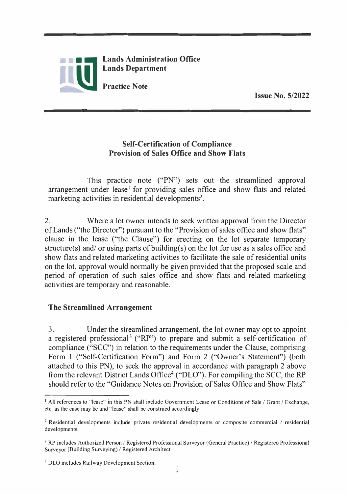

**Issue No. 5/2022** 

## **Self-Certification of Compliance Provision of Sales Office and Show Flats**

**This practice note ("PN") sets out the streamlined approval**  arrangement under lease<sup>1</sup> for providing sales office and show flats and related **marketing activities in residential developments<sup>2</sup> .** 

**2. Where a lot owner intends to seek written approval from the Director of Lands ("the Director") pursuant to the "Provision of sales office and show flats" clause in the lease ("the Clause") for erecting on the lot separate temporary structure(s) and/ or using parts of building(s) on the lot for use as a sales office and show flats and related marketing activities to facilitate the sale of residential units on the lot, approval would normally be given provided that the proposed scale and period of operation of such sales office and show flats and related marketing activities are temporary and reasonable.**

## **The Streamlined Arrangement**

**3. Under the streamlined arrangement, the lot owner may opt to appoint** a registered professional<sup>3</sup> ("RP") to prepare and submit a self-certification of **compliance ("SCC") in relation to the requirements under the Clause, comprising Form 1 ("Self-Certification Form") and Form 2 ("Owner's Statement") (both attached to this PN), to seek the approval in accordance with paragraph 2 above from the relevant District Lands Office<sup>4</sup>("DLO"). For compiling the SCC, the RP should refer to the "Guidance Notes on Provision of Sales Office and Show Flats"**

**<sup>1</sup> All references to "lease" in this PN shall include Government Lease or Conditions of Sale / Grant/ Exchange, etc. as the case may be and "lease''shall be construed accordingly.** 

**<sup>2</sup> Residential developments include private residential developments or composite commercial / residential developments.** 

<sup>&</sup>lt;sup>3</sup> RP includes Authorized Person / Registered Professional Surveyor (General Practice) / Registered Professional **Surveyor (Building Surveying) / Registered Architect.** 

**<sup>4</sup> DLO includes Railway Development Section.**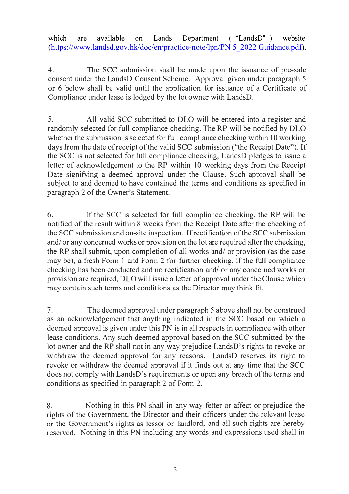**which are available on Lands Department (**"**LandsD**"**) website** ([https://www.landsd.gov.hk/doc/en/practice-note/lpn/PN 5\\_2022 Guidance.pdf\)](https://www.landsd.gov.hk/doc/en/practice-note/lpn/PN 5_2022 Guidance.pdf).

**4. The SCC submission sha11 be made upon the issuance of pre-sale consent under the LandsD Consent Scheme. Approval given under paragraph 5 or 6 below shall be valid until the application for issuance of a Certificate of Compliance under lease is lodged by the lot owner with LandsD.**

**5. All valid SCC submitted to DLO will be entered into a register and randomly selected for full compliance checking. The RP will be notified by DLO whether the submission is selected for full compliance checking within 10 working days from the date of receipt of the valid SCC submission ("the Receipt Date"). If the SCC is not selected for full compliance checking, LandsD pledges to issue a letter of acknowledgement to the RP within 10 working days from the Receipt Date signifying a deemed approval under the Clause. Such approval shall be subject to and deemed to have contained the terms and conditions as specified in paragraph 2 of the Owner's Statement.**

**6. If the SCC is selected for full compliance checking, the RP will be notified of the result within 8 weeks from the Receipt Date after the checking of the SCC submission and on-site inspection. Ifrectification of the SCC submission and/ or any concerned works or provision on the lot are required after the checking, the RP shall submit, upon completion of all works and/ or provision (as the case may be), a fresh Form 1 and Form 2 for further checking. If the full compliance checking has been conducted and no rectification and/ or any concerned works or provision are required, DLO will issue a letter of approval under the Clause which may contain such terms and conditions as the Director may think fit.**

**7. The deemed approval under paragraph 5 above shall not be construed as an acknowledgement that anything indicated in the SCC based on which a deemed approval is given under this PN is in all respects in compliance with other lease conditions. Any such deemed approval based on the SCC submitted by the lot owner and the RP shall not in any way prejudice LandsD's rights to revoke or withdraw the deemed approval for any reasons. LandsD reserves its right to revoke or withdraw the deemed approval if it finds out at any time that the SCC does not comply with LandsD's requirements or upon any breach of the terms and conditions as specified in paragraph 2 of Form 2.**

**8. Nothing in this PN shall in any way fetter or affect or prejudice the rights of the Government, the Director and their officers under the relevant lease or the Government's rights as lessor or landlord, and all such rights are hereby reserved. Nothing in this PN including any words and expressions used shall in**